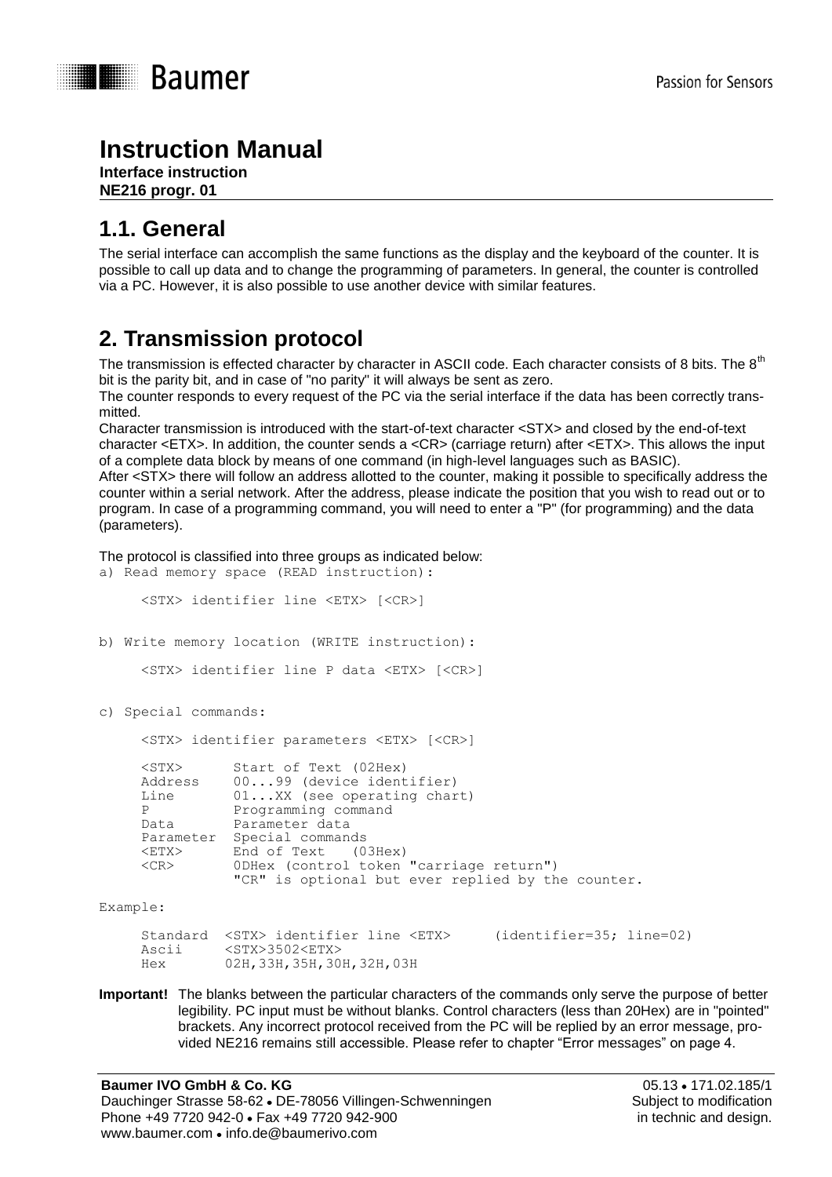

# **Instruction Manual**

**Interface instruction NE216 progr. 01**

# **1.1. General**

The serial interface can accomplish the same functions as the display and the keyboard of the counter. It is possible to call up data and to change the programming of parameters. In general, the counter is controlled via a PC. However, it is also possible to use another device with similar features.

# **2. Transmission protocol**

The transmission is effected character by character in ASCII code. Each character consists of 8 bits. The 8<sup>th</sup> bit is the parity bit, and in case of "no parity" it will always be sent as zero.

The counter responds to every request of the PC via the serial interface if the data has been correctly transmitted.

Character transmission is introduced with the start-of-text character <STX> and closed by the end-of-text character <ETX>. In addition, the counter sends a <CR> (carriage return) after <ETX>. This allows the input of a complete data block by means of one command (in high-level languages such as BASIC).

After <STX> there will follow an address allotted to the counter, making it possible to specifically address the counter within a serial network. After the address, please indicate the position that you wish to read out or to program. In case of a programming command, you will need to enter a "P" (for programming) and the data (parameters).

The protocol is classified into three groups as indicated below:

|          | a) Read memory space (READ instruction):                  |                                                                                                                                                                                                                                                                                                                               |  |  |  |
|----------|-----------------------------------------------------------|-------------------------------------------------------------------------------------------------------------------------------------------------------------------------------------------------------------------------------------------------------------------------------------------------------------------------------|--|--|--|
|          |                                                           | <stx> identifier line <etx> [<cr>]</cr></etx></stx>                                                                                                                                                                                                                                                                           |  |  |  |
|          | b) Write memory location (WRITE instruction):             |                                                                                                                                                                                                                                                                                                                               |  |  |  |
|          |                                                           | <stx> identifier line P data <etx> [<cr>]</cr></etx></stx>                                                                                                                                                                                                                                                                    |  |  |  |
|          | c) Special commands:                                      |                                                                                                                                                                                                                                                                                                                               |  |  |  |
|          | <stx> identifier parameters <etx> [<cr>]</cr></etx></stx> |                                                                                                                                                                                                                                                                                                                               |  |  |  |
|          | Line<br>$<$ ETX $>$<br>$<$ CR $>$                         | <stx> Start of Text (02Hex)<br/>Address 0099 (device identifier)<br/><math>01XX</math> (see operating chart)<br/>P Programming command<br/>Data Parameter data<br/>Parameter Special commands<br/>End of Text (03Hex)<br/>ODHex (control token "carriage return")<br/>"CR" is optional but ever replied by the counter.</stx> |  |  |  |
| Example: |                                                           |                                                                                                                                                                                                                                                                                                                               |  |  |  |

Standard <STX> identifier line <ETX> (identifier=35; line=02)<br>Ascii <STX>3502<ETX>  $<$ STX>3502 $<$ ETX> Hex 02H,33H,35H,30H,32H,03H

**Important!** The blanks between the particular characters of the commands only serve the purpose of better legibility. PC input must be without blanks. Control characters (less than 20Hex) are in "pointed" brackets. Any incorrect protocol received from the PC will be replied by an error message, provided NE216 remains still accessible. Please refer to chapter "Error messages" on page 4.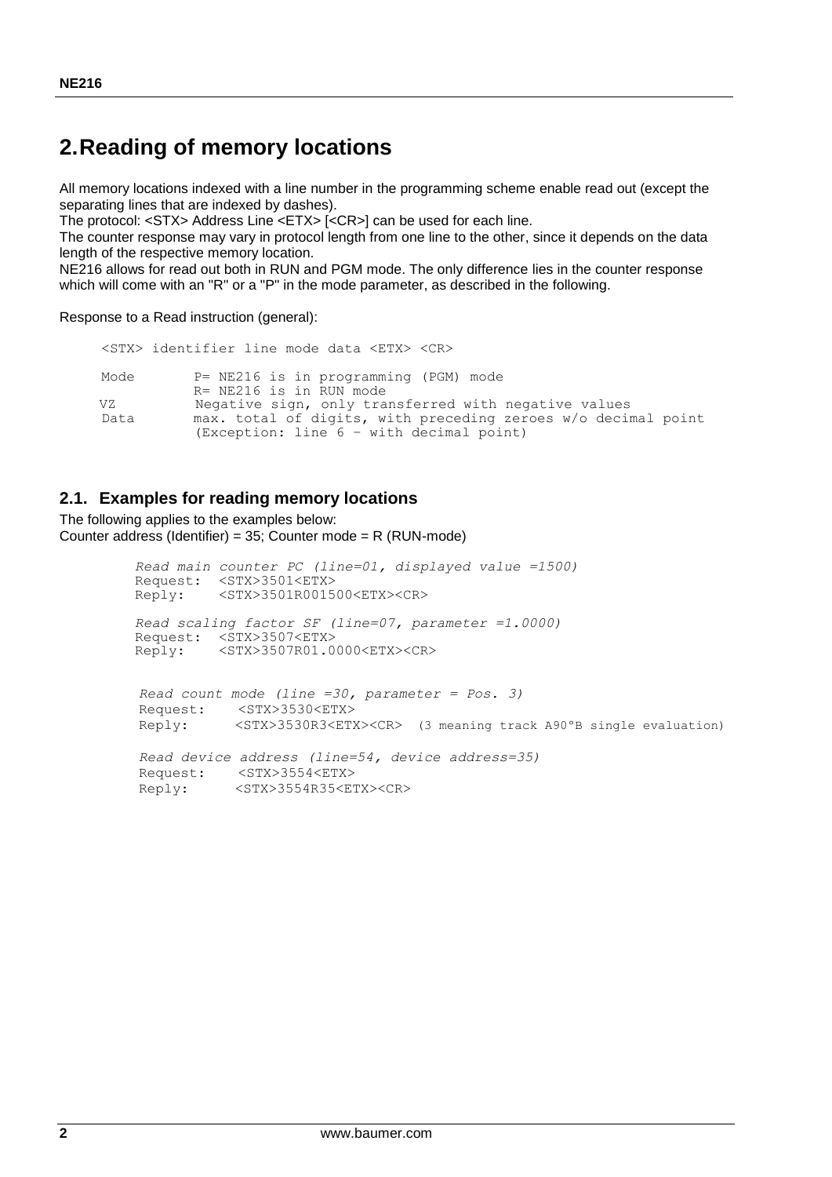### **2.Reading of memory locations**

All memory locations indexed with a line number in the programming scheme enable read out (except the separating lines that are indexed by dashes).

The protocol: <STX> Address Line <ETX> [<CR>] can be used for each line.

The counter response may vary in protocol length from one line to the other, since it depends on the data length of the respective memory location.

NE216 allows for read out both in RUN and PGM mode. The only difference lies in the counter response which will come with an "R" or a "P" in the mode parameter, as described in the following.

Response to a Read instruction (general):

```
 <STX> identifier line mode data <ETX> <CR>
Mode P= NE216 is in programming (PGM) mode
R= NE216 is in RUN mode<br>VZ Megative sign, only tra
VZ 1998 Negative sign, only transferred with negative values<br>Data 1998 max. total of digits, with preceding zeroes w/o decin
              max. total of digits, with preceding zeroes w/o decimal point
               (Exception: line 6 – with decimal point)
```
#### **2.1. Examples for reading memory locations**

The following applies to the examples below: Counter address (Identifier) = 35; Counter mode = R (RUN-mode)

```
 Read main counter PC (line=01, displayed value =1500)
 Request: <STX>3501<ETX>
 Reply: <STX>3501R001500<ETX><CR>
 Read scaling factor SF (line=07, parameter =1.0000)
Request: <STX>3507<ETX><br>Reply: <STX>3507R01.0
           Reply: <STX>3507R01.0000<ETX><CR>
 Read count mode (line =30, parameter = Pos. 3)
 Request: <STX>3530<ETX>
 Reply: <STX>3530R3<ETX><CR> (3 meaning track A90ºB single evaluation)
 Read device address (line=54, device address=35)
 Request: <STX>3554<ETX>
 Reply: <STX>3554R35<ETX><CR>
```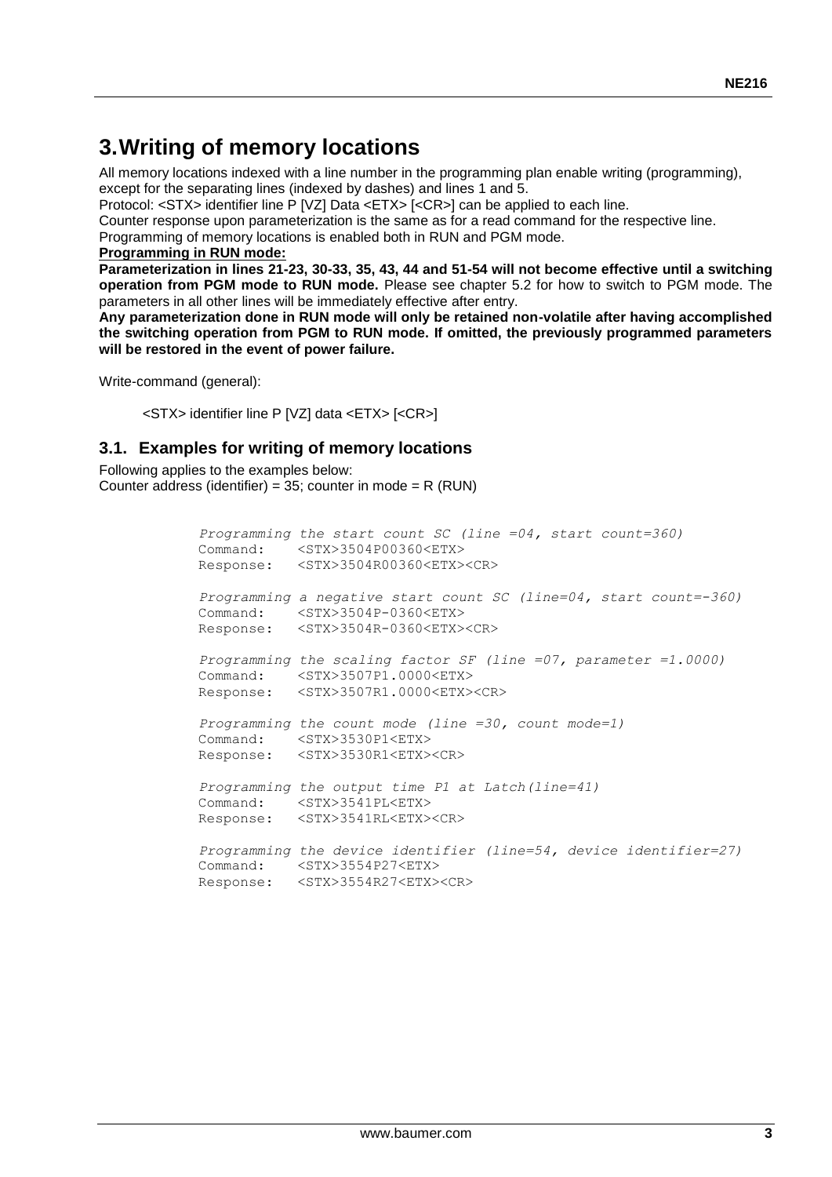## **3.Writing of memory locations**

All memory locations indexed with a line number in the programming plan enable writing (programming), except for the separating lines (indexed by dashes) and lines 1 and 5.

Protocol: <STX> identifier line P [VZ] Data <ETX> [<CR>] can be applied to each line.

Counter response upon parameterization is the same as for a read command for the respective line.

Programming of memory locations is enabled both in RUN and PGM mode.

#### **Programming in RUN mode:**

**Parameterization in lines 21-23, 30-33, 35, 43, 44 and 51-54 will not become effective until a switching operation from PGM mode to RUN mode.** Please see chapter 5.2 for how to switch to PGM mode. The parameters in all other lines will be immediately effective after entry.

**Any parameterization done in RUN mode will only be retained non-volatile after having accomplished the switching operation from PGM to RUN mode. If omitted, the previously programmed parameters will be restored in the event of power failure.**

Write-command (general):

<STX> identifier line P [VZ] data <ETX> [<CR>]

#### **3.1. Examples for writing of memory locations**

Following applies to the examples below: Counter address (identifier) =  $35$ ; counter in mode = R (RUN)

> *Programming the start count SC (line =04, start count=360)* Command: <STX>3504P00360<ETX> Response: <STX>3504R00360<ETX><CR>  *Programming a negative start count SC (line=04, start count=-360)* Command: <STX>3504P-0360<ETX> Response: <STX>3504R-0360<ETX><CR>  *Programming the scaling factor SF (line =07, parameter =1.0000)* Command: <STX>3507P1.0000<ETX> Response: <STX>3507R1.0000<ETX><CR>  *Programming the count mode (line =30, count mode=1)* Command: <STX>3530P1<ETX> Response: <STX>3530R1<ETX><CR>  *Programming the output time P1 at Latch(line=41)*  Command: <STX>3541PL<ETX> Response: <STX>3541RL<ETX><CR>  *Programming the device identifier (line=54, device identifier=27)* Command: <STX>3554P27<ETX> Response: <STX>3554R27<ETX><CR>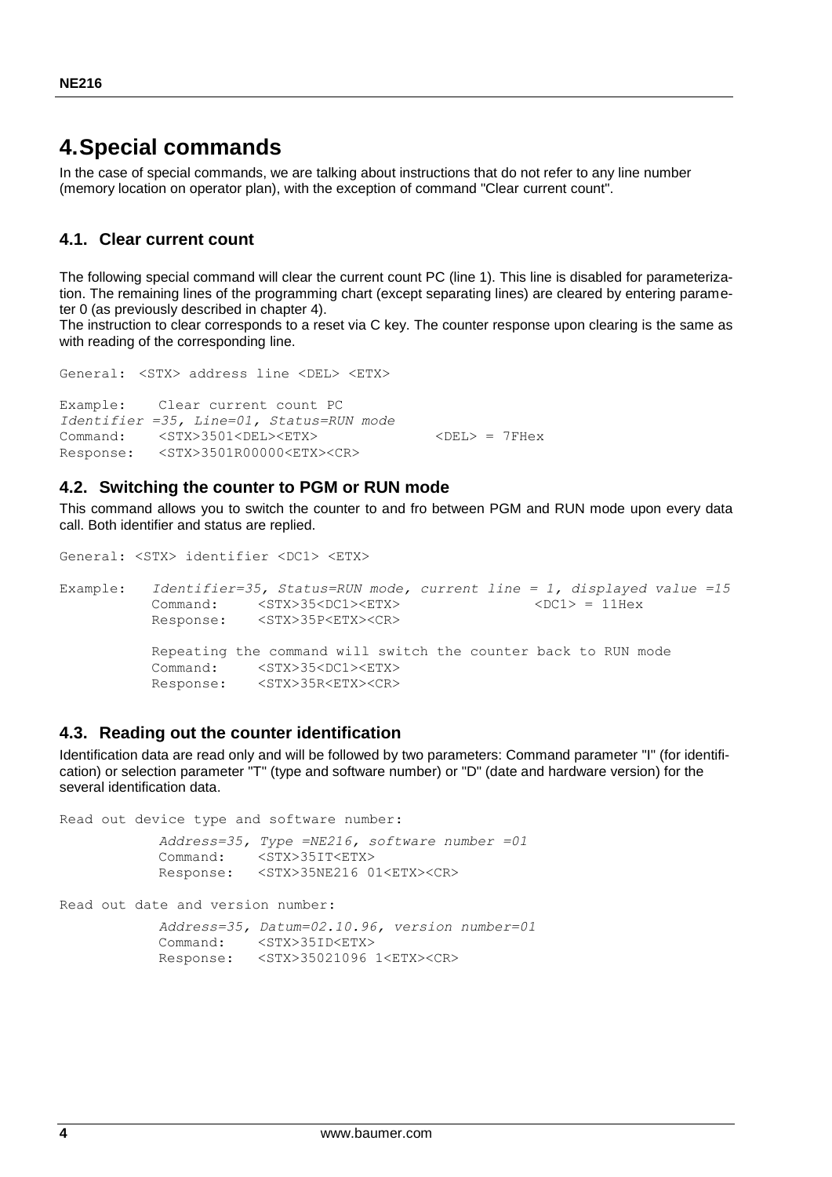### **4.Special commands**

In the case of special commands, we are talking about instructions that do not refer to any line number (memory location on operator plan), with the exception of command "Clear current count".

### **4.1. Clear current count**

The following special command will clear the current count PC (line 1). This line is disabled for parameterization. The remaining lines of the programming chart (except separating lines) are cleared by entering parameter 0 (as previously described in chapter 4).

The instruction to clear corresponds to a reset via C key. The counter response upon clearing is the same as with reading of the corresponding line.

```
Example: Clear current count PC
Identifier =35, Line=01, Status=RUN mode
Command: <STX>3501<DEL><ETX> <DEL> = 7FHex
Response: <STX>3501R00000<ETX><CR>
```
#### **4.2. Switching the counter to PGM or RUN mode**

General: <STX> address line <DEL> <ETX>

This command allows you to switch the counter to and fro between PGM and RUN mode upon every data call. Both identifier and status are replied.

```
General: <STX> identifier <DC1> <ETX>
Example: Identifier=35, Status=RUN mode, current line = 1, displayed value =15
           Command: \langle STX>35\langle DCI\rangle\langle ETX\rangle \langle DCI\rangle = 11Hex
            Response: <STX>35P<ETX><CR>
            Repeating the command will switch the counter back to RUN mode
            Command: <STX>35<DC1><ETX>
            Response: <STX>35R<ETX><CR>
```
#### **4.3. Reading out the counter identification**

Identification data are read only and will be followed by two parameters: Command parameter "I" (for identification) or selection parameter "T" (type and software number) or "D" (date and hardware version) for the several identification data.

Read out device type and software number:

```
 Address=35, Type =NE216, software number =01
 Command: <STX>35IT<ETX>
 Response: <STX>35NE216 01<ETX><CR>
```
Read out date and version number:

 *Address=35, Datum=02.10.96, version number=01* Command: <STX>35ID<ETX> Response: <STX>35021096 1<ETX><CR>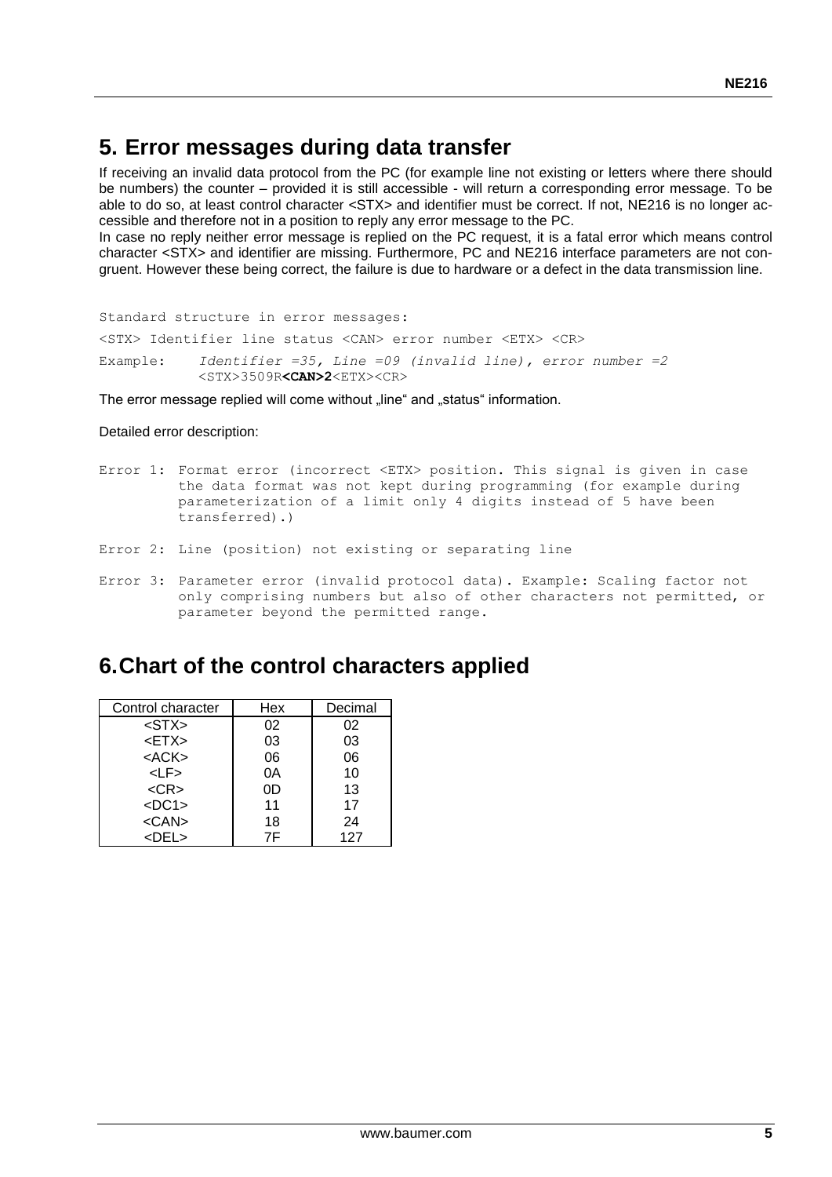### **5. Error messages during data transfer**

If receiving an invalid data protocol from the PC (for example line not existing or letters where there should be numbers) the counter – provided it is still accessible - will return a corresponding error message. To be able to do so, at least control character <STX> and identifier must be correct. If not, NE216 is no longer accessible and therefore not in a position to reply any error message to the PC.

In case no reply neither error message is replied on the PC request, it is a fatal error which means control character <STX> and identifier are missing. Furthermore, PC and NE216 interface parameters are not congruent. However these being correct, the failure is due to hardware or a defect in the data transmission line.

Standard structure in error messages:

<STX> Identifier line status <CAN> error number <ETX> <CR>

Example: *Identifier =35, Line =09 (invalid line), error number =2* <STX>3509R**<CAN>2**<ETX><CR>

The error message replied will come without "line" and "status" information.

Detailed error description:

- Error 1: Format error (incorrect <ETX> position. This signal is given in case the data format was not kept during programming (for example during parameterization of a limit only 4 digits instead of 5 have been transferred).)
- Error 2: Line (position) not existing or separating line
- Error 3: Parameter error (invalid protocol data). Example: Scaling factor not only comprising numbers but also of other characters not permitted, or parameter beyond the permitted range.

### **6.Chart of the control characters applied**

| Control character | Hex | Decimal |
|-------------------|-----|---------|
| $<$ STX $>$       | 02  | 02      |
| $<$ ETX $>$       | 03  | 03      |
| $<$ ACK $>$       | 06  | 06      |
| $L$ F>            | 0A  | 10      |
| $<$ CR $>$        | 0D  | 13      |
| $<$ DC1>          | 11  | 17      |
| $<$ CAN $>$       | 18  | 24      |
| $<$ DEL $>$       | 7F  | 127     |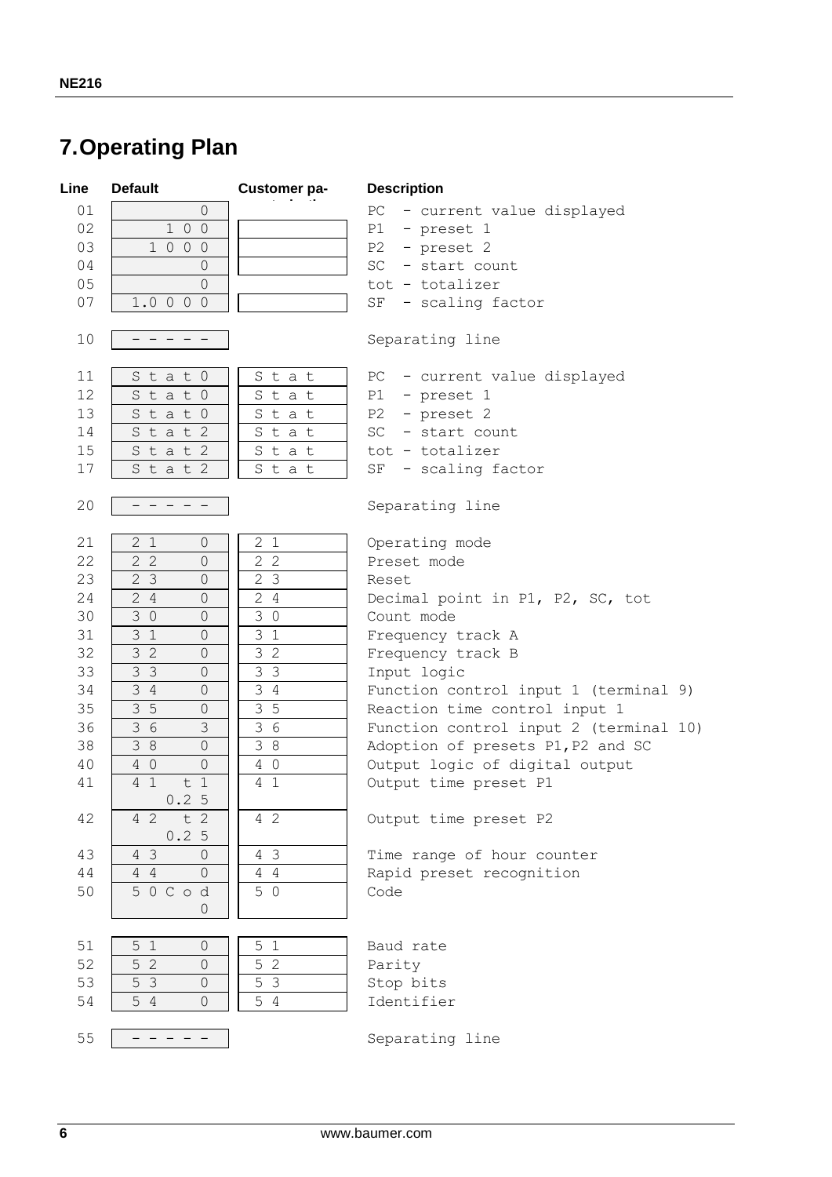### **7.Operating Plan**